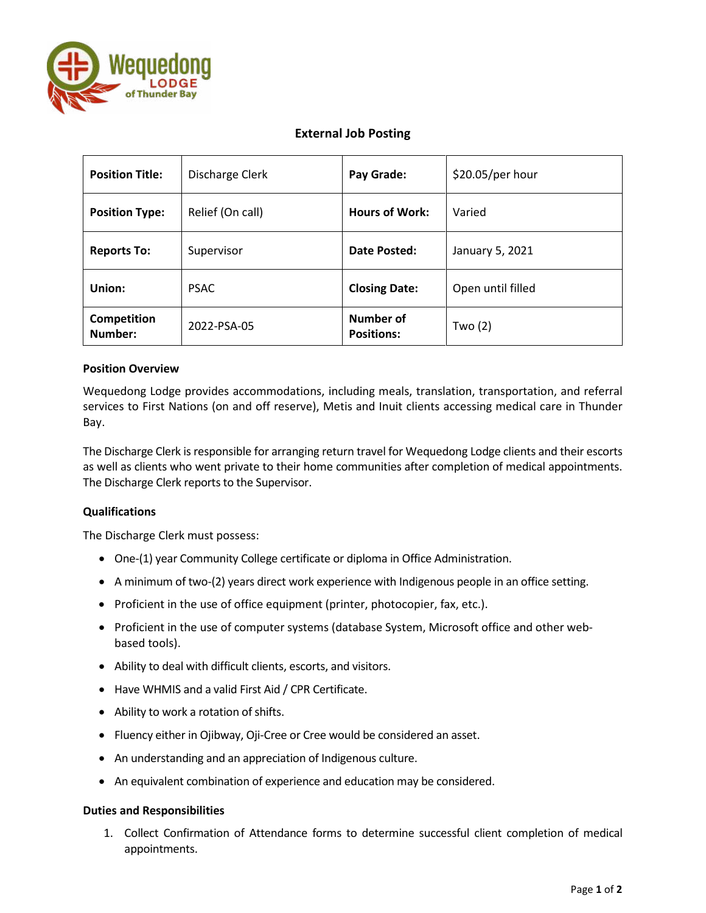

# **External Job Posting**

| <b>Position Title:</b> | Discharge Clerk  | Pay Grade:                     | \$20.05/per hour  |
|------------------------|------------------|--------------------------------|-------------------|
| <b>Position Type:</b>  | Relief (On call) | <b>Hours of Work:</b>          | Varied            |
| <b>Reports To:</b>     | Supervisor       | Date Posted:                   | January 5, 2021   |
| Union:                 | <b>PSAC</b>      | <b>Closing Date:</b>           | Open until filled |
| Competition<br>Number: | 2022-PSA-05      | Number of<br><b>Positions:</b> | Two $(2)$         |

## **Position Overview**

Wequedong Lodge provides accommodations, including meals, translation, transportation, and referral services to First Nations (on and off reserve), Metis and Inuit clients accessing medical care in Thunder Bay.

The Discharge Clerk is responsible for arranging return travel for Wequedong Lodge clients and their escorts as well as clients who went private to their home communities after completion of medical appointments. The Discharge Clerk reports to the Supervisor.

## **Qualifications**

The Discharge Clerk must possess:

- One-(1) year Community College certificate or diploma in Office Administration.
- A minimum of two-(2) years direct work experience with Indigenous people in an office setting.
- Proficient in the use of office equipment (printer, photocopier, fax, etc.).
- Proficient in the use of computer systems (database System, Microsoft office and other webbased tools).
- Ability to deal with difficult clients, escorts, and visitors.
- Have WHMIS and a valid First Aid / CPR Certificate.
- Ability to work a rotation of shifts.
- Fluency either in Ojibway, Oji-Cree or Cree would be considered an asset.
- An understanding and an appreciation of Indigenous culture.
- An equivalent combination of experience and education may be considered.

## **Duties and Responsibilities**

1. Collect Confirmation of Attendance forms to determine successful client completion of medical appointments.